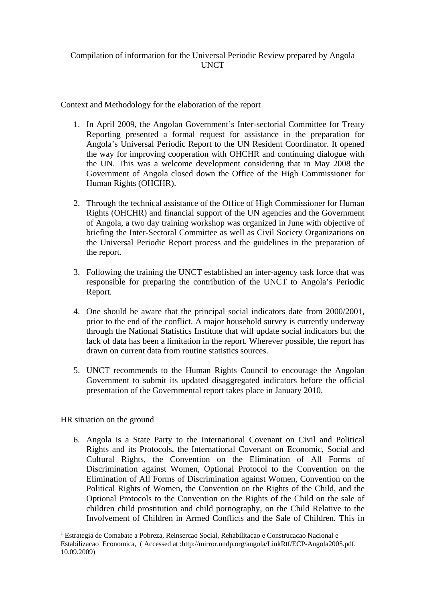### Compilation of information for the Universal Periodic Review prepared by Angola UNCT

Context and Methodology for the elaboration of the report

- 1. In April 2009, the Angolan Government's Inter-sectorial Committee for Treaty Reporting presented a formal request for assistance in the preparation for Angola's Universal Periodic Report to the UN Resident Coordinator. It opened the way for improving cooperation with OHCHR and continuing dialogue with the UN. This was a welcome development considering that in May 2008 the Government of Angola closed down the Office of the High Commissioner for Human Rights (OHCHR).
- 2. Through the technical assistance of the Office of High Commissioner for Human Rights (OHCHR) and financial support of the UN agencies and the Government of Angola, a two day training workshop was organized in June with objective of briefing the Inter-Sectoral Committee as well as Civil Society Organizations on the Universal Periodic Report process and the guidelines in the preparation of the report.
- 3. Following the training the UNCT established an inter-agency task force that was responsible for preparing the contribution of the UNCT to Angola's Periodic Report.
- 4. One should be aware that the principal social indicators date from 2000/2001, prior to the end of the conflict. A major household survey is currently underway through the National Statistics Institute that will update social indicators but the lack of data has been a limitation in the report. Wherever possible, the report has drawn on current data from routine statistics sources.
- 5. UNCT recommends to the Human Rights Council to encourage the Angolan Government to submit its updated disaggregated indicators before the official presentation of the Governmental report takes place in January 2010.

## HR situation on the ground

6. Angola is a State Party to the International Covenant on Civil and Political Rights and its Protocols, the International Covenant on Economic, Social and Cultural Rights, the Convention on the Elimination of All Forms of Discrimination against Women, Optional Protocol to the Convention on the Elimination of All Forms of Discrimination against Women, Convention on the Political Rights of Women, the Convention on the Rights of the Child, and the Optional Protocols to the Convention on the Rights of the Child on the sale of children child prostitution and child pornography, on the Child Relative to the Involvement of Children in Armed Conflicts and the Sale of Children*.* This in

<sup>&</sup>lt;sup>1</sup> Estrategia de Comabate a Pobreza, Reinsercao Social, Rehabilitacao e Construcacao Nacional e Estabilizacao Economica, ( Accessed at :http://mirror.undp.org/angola/LinkRtf/ECP-Angola2005.pdf, 10.09.2009)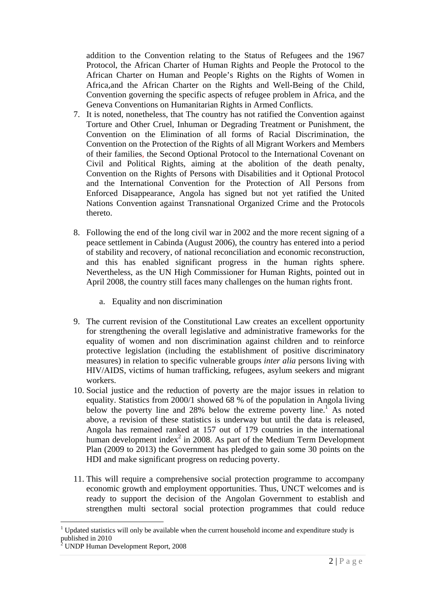addition to the Convention relating to the Status of Refugees and the 1967 Protocol, the African Charter of Human Rights and People the Protocol to the African Charter on Human and People's Rights on the Rights of Women in Africa*,*and the African Charter on the Rights and Well-Being of the Child, Convention governing the specific aspects of refugee problem in Africa, and the Geneva Conventions on Humanitarian Rights in Armed Conflicts.

- 7. It is noted, nonetheless, that The country has not ratified the Convention against Torture and Other Cruel, Inhuman or Degrading Treatment or Punishment, the Convention on the Elimination of all forms of Racial Discrimination, the Convention on the Protection of the Rights of all Migrant Workers and Members of their families, the Second Optional Protocol to the International Covenant on Civil and Political Rights, aiming at the abolition of the death penalty, Convention on the Rights of Persons with Disabilities and it Optional Protocol and the International Convention for the Protection of All Persons from Enforced Disappearance, Angola has signed but not yet ratified the United Nations Convention against Transnational Organized Crime and the Protocols thereto.
- 8. Following the end of the long civil war in 2002 and the more recent signing of a peace settlement in Cabinda (August 2006), the country has entered into a period of stability and recovery, of national reconciliation and economic reconstruction, and this has enabled significant progress in the human rights sphere. Nevertheless, as the UN High Commissioner for Human Rights, pointed out in April 2008, the country still faces many challenges on the human rights front.
	- a. Equality and non discrimination
- 9. The current revision of the Constitutional Law creates an excellent opportunity for strengthening the overall legislative and administrative frameworks for the equality of women and non discrimination against children and to reinforce protective legislation (including the establishment of positive discriminatory measures) in relation to specific vulnerable groups *inter alia* persons living with HIV/AIDS, victims of human trafficking, refugees, asylum seekers and migrant workers.
- 10. Social justice and the reduction of poverty are the major issues in relation to equality. Statistics from 2000/1 showed 68 % of the population in Angola living below the poverty line and 28% below the extreme poverty line.<sup>1</sup> As noted above, a revision of these statistics is underway but until the data is released, Angola has remained ranked at 157 out of 179 countries in the international human development index $^2$  in 2008. As part of the Medium Term Development Plan (2009 to 2013) the Government has pledged to gain some 30 points on the HDI and make significant progress on reducing poverty.
- 11. This will require a comprehensive social protection programme to accompany economic growth and employment opportunities. Thus, UNCT welcomes and is ready to support the decision of the Angolan Government to establish and strengthen multi sectoral social protection programmes that could reduce

 $\overline{a}$ 1 Updated statistics will only be available when the current household income and expenditure study is published in 2010

<sup>&</sup>lt;sup>2</sup> UNDP Human Development Report, 2008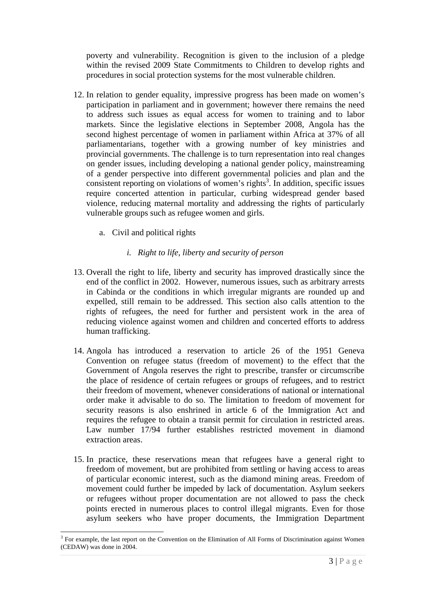poverty and vulnerability. Recognition is given to the inclusion of a pledge within the revised 2009 State Commitments to Children to develop rights and procedures in social protection systems for the most vulnerable children.

- 12. In relation to gender equality, impressive progress has been made on women's participation in parliament and in government; however there remains the need to address such issues as equal access for women to training and to labor markets. Since the legislative elections in September 2008, Angola has the second highest percentage of women in parliament within Africa at 37% of all parliamentarians, together with a growing number of key ministries and provincial governments. The challenge is to turn representation into real changes on gender issues, including developing a national gender policy, mainstreaming of a gender perspective into different governmental policies and plan and the consistent reporting on violations of women's rights<sup>3</sup>. In addition, specific issues require concerted attention in particular, curbing widespread gender based violence, reducing maternal mortality and addressing the rights of particularly vulnerable groups such as refugee women and girls.
	- a. Civil and political rights

 $\overline{a}$ 

## *i. Right to life, liberty and security of person*

- 13. Overall the right to life, liberty and security has improved drastically since the end of the conflict in 2002. However, numerous issues, such as arbitrary arrests in Cabinda or the conditions in which irregular migrants are rounded up and expelled, still remain to be addressed. This section also calls attention to the rights of refugees, the need for further and persistent work in the area of reducing violence against women and children and concerted efforts to address human trafficking.
- 14. Angola has introduced a reservation to article 26 of the 1951 Geneva Convention on refugee status (freedom of movement) to the effect that the Government of Angola reserves the right to prescribe, transfer or circumscribe the place of residence of certain refugees or groups of refugees, and to restrict their freedom of movement, whenever considerations of national or international order make it advisable to do so. The limitation to freedom of movement for security reasons is also enshrined in article 6 of the Immigration Act and requires the refugee to obtain a transit permit for circulation in restricted areas. Law number 17/94 further establishes restricted movement in diamond extraction areas.
- 15. In practice, these reservations mean that refugees have a general right to freedom of movement, but are prohibited from settling or having access to areas of particular economic interest, such as the diamond mining areas. Freedom of movement could further be impeded by lack of documentation. Asylum seekers or refugees without proper documentation are not allowed to pass the check points erected in numerous places to control illegal migrants. Even for those asylum seekers who have proper documents, the Immigration Department

<sup>&</sup>lt;sup>3</sup> For example, the last report on the Convention on the Elimination of All Forms of Discrimination against Women (CEDAW) was done in 2004.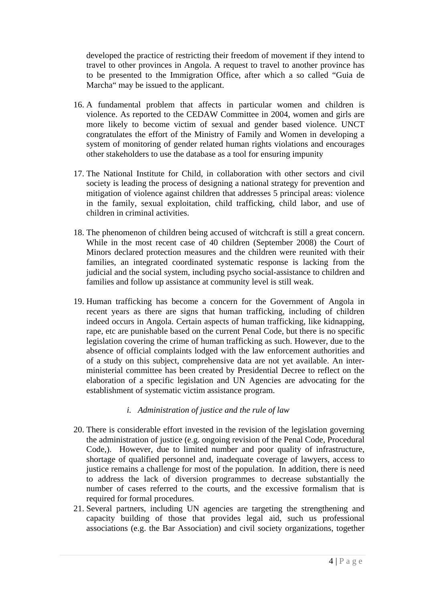developed the practice of restricting their freedom of movement if they intend to travel to other provinces in Angola. A request to travel to another province has to be presented to the Immigration Office, after which a so called "Guia de Marcha" may be issued to the applicant.

- 16. A fundamental problem that affects in particular women and children is violence. As reported to the CEDAW Committee in 2004, women and girls are more likely to become victim of sexual and gender based violence. UNCT congratulates the effort of the Ministry of Family and Women in developing a system of monitoring of gender related human rights violations and encourages other stakeholders to use the database as a tool for ensuring impunity
- 17. The National Institute for Child, in collaboration with other sectors and civil society is leading the process of designing a national strategy for prevention and mitigation of violence against children that addresses 5 principal areas: violence in the family, sexual exploitation, child trafficking, child labor, and use of children in criminal activities.
- 18. The phenomenon of children being accused of witchcraft is still a great concern. While in the most recent case of 40 children (September 2008) the Court of Minors declared protection measures and the children were reunited with their families, an integrated coordinated systematic response is lacking from the judicial and the social system, including psycho social-assistance to children and families and follow up assistance at community level is still weak.
- 19. Human trafficking has become a concern for the Government of Angola in recent years as there are signs that human trafficking, including of children indeed occurs in Angola. Certain aspects of human trafficking, like kidnapping, rape, etc are punishable based on the current Penal Code, but there is no specific legislation covering the crime of human trafficking as such. However, due to the absence of official complaints lodged with the law enforcement authorities and of a study on this subject, comprehensive data are not yet available. An interministerial committee has been created by Presidential Decree to reflect on the elaboration of a specific legislation and UN Agencies are advocating for the establishment of systematic victim assistance program.

## *i. Administration of justice and the rule of law*

- 20. There is considerable effort invested in the revision of the legislation governing the administration of justice (e.g. ongoing revision of the Penal Code, Procedural Code,). However, due to limited number and poor quality of infrastructure, shortage of qualified personnel and, inadequate coverage of lawyers, access to justice remains a challenge for most of the population. In addition, there is need to address the lack of diversion programmes to decrease substantially the number of cases referred to the courts, and the excessive formalism that is required for formal procedures.
- 21. Several partners, including UN agencies are targeting the strengthening and capacity building of those that provides legal aid, such us professional associations (e.g. the Bar Association) and civil society organizations, together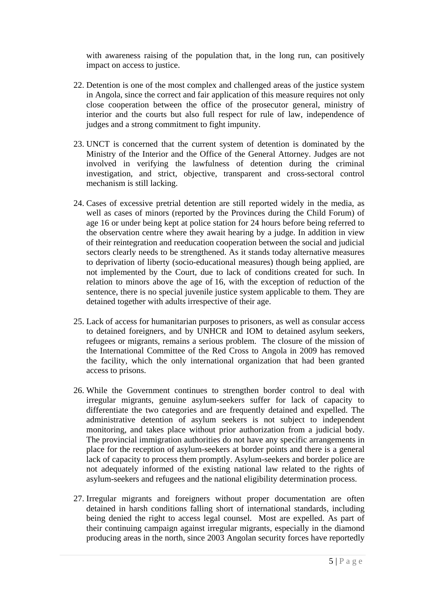with awareness raising of the population that, in the long run, can positively impact on access to justice.

- 22. Detention is one of the most complex and challenged areas of the justice system in Angola, since the correct and fair application of this measure requires not only close cooperation between the office of the prosecutor general, ministry of interior and the courts but also full respect for rule of law, independence of judges and a strong commitment to fight impunity.
- 23. UNCT is concerned that the current system of detention is dominated by the Ministry of the Interior and the Office of the General Attorney. Judges are not involved in verifying the lawfulness of detention during the criminal investigation, and strict, objective, transparent and cross-sectoral control mechanism is still lacking.
- 24. Cases of excessive pretrial detention are still reported widely in the media, as well as cases of minors (reported by the Provinces during the Child Forum) of age 16 or under being kept at police station for 24 hours before being referred to the observation centre where they await hearing by a judge. In addition in view of their reintegration and reeducation cooperation between the social and judicial sectors clearly needs to be strengthened. As it stands today alternative measures to deprivation of liberty (socio-educational measures) though being applied, are not implemented by the Court, due to lack of conditions created for such. In relation to minors above the age of 16, with the exception of reduction of the sentence, there is no special juvenile justice system applicable to them. They are detained together with adults irrespective of their age.
- 25. Lack of access for humanitarian purposes to prisoners, as well as consular access to detained foreigners, and by UNHCR and IOM to detained asylum seekers, refugees or migrants, remains a serious problem. The closure of the mission of the International Committee of the Red Cross to Angola in 2009 has removed the facility, which the only international organization that had been granted access to prisons.
- 26. While the Government continues to strengthen border control to deal with irregular migrants, genuine asylum-seekers suffer for lack of capacity to differentiate the two categories and are frequently detained and expelled. The administrative detention of asylum seekers is not subject to independent monitoring, and takes place without prior authorization from a judicial body. The provincial immigration authorities do not have any specific arrangements in place for the reception of asylum-seekers at border points and there is a general lack of capacity to process them promptly. Asylum-seekers and border police are not adequately informed of the existing national law related to the rights of asylum-seekers and refugees and the national eligibility determination process.
- 27. Irregular migrants and foreigners without proper documentation are often detained in harsh conditions falling short of international standards, including being denied the right to access legal counsel. Most are expelled. As part of their continuing campaign against irregular migrants, especially in the diamond producing areas in the north, since 2003 Angolan security forces have reportedly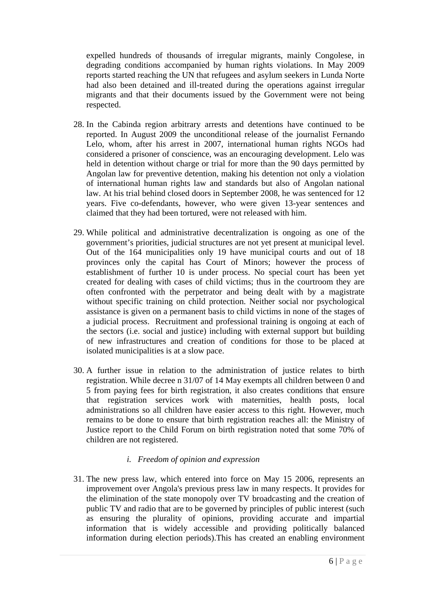expelled hundreds of thousands of irregular migrants, mainly Congolese, in degrading conditions accompanied by human rights violations. In May 2009 reports started reaching the UN that refugees and asylum seekers in Lunda Norte had also been detained and ill-treated during the operations against irregular migrants and that their documents issued by the Government were not being respected.

- 28. In the Cabinda region arbitrary arrests and detentions have continued to be reported. In August 2009 the unconditional release of the journalist Fernando Lelo, whom, after his arrest in 2007, international human rights NGOs had considered a prisoner of conscience, was an encouraging development. Lelo was held in detention without charge or trial for more than the 90 days permitted by Angolan law for preventive detention, making his detention not only a violation of international human rights law and standards but also of Angolan national law. At his trial behind closed doors in September 2008, he was sentenced for 12 years. Five co-defendants, however, who were given 13-year sentences and claimed that they had been tortured, were not released with him.
- 29. While political and administrative decentralization is ongoing as one of the government's priorities, judicial structures are not yet present at municipal level. Out of the 164 municipalities only 19 have municipal courts and out of 18 provinces only the capital has Court of Minors; however the process of establishment of further 10 is under process. No special court has been yet created for dealing with cases of child victims; thus in the courtroom they are often confronted with the perpetrator and being dealt with by a magistrate without specific training on child protection. Neither social nor psychological assistance is given on a permanent basis to child victims in none of the stages of a judicial process. Recruitment and professional training is ongoing at each of the sectors (i.e. social and justice) including with external support but building of new infrastructures and creation of conditions for those to be placed at isolated municipalities is at a slow pace.
- 30. A further issue in relation to the administration of justice relates to birth registration. While decree n 31/07 of 14 May exempts all children between 0 and 5 from paying fees for birth registration, it also creates conditions that ensure that registration services work with maternities, health posts, local administrations so all children have easier access to this right. However, much remains to be done to ensure that birth registration reaches all: the Ministry of Justice report to the Child Forum on birth registration noted that some 70% of children are not registered.

## *i. Freedom of opinion and expression*

31. The new press law, which entered into force on May 15 2006, represents an improvement over Angola's previous press law in many respects. It provides for the elimination of the state monopoly over TV broadcasting and the creation of public TV and radio that are to be governed by principles of public interest (such as ensuring the plurality of opinions, providing accurate and impartial information that is widely accessible and providing politically balanced information during election periods).This has created an enabling environment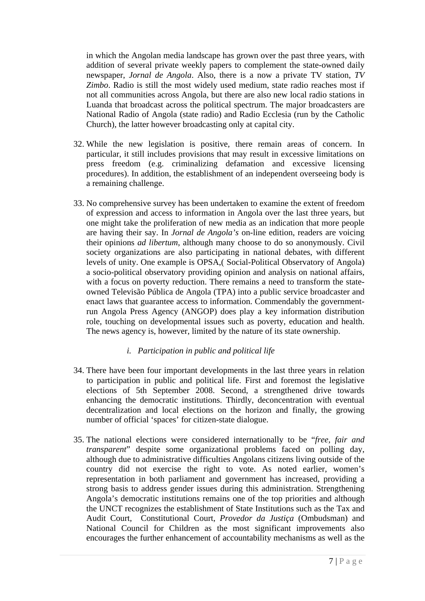in which the Angolan media landscape has grown over the past three years, with addition of several private weekly papers to complement the state-owned daily newspaper, *Jornal de Angola*. Also, there is a now a private TV station, *TV Zimbo*. Radio is still the most widely used medium, state radio reaches most if not all communities across Angola, but there are also new local radio stations in Luanda that broadcast across the political spectrum. The major broadcasters are National Radio of Angola (state radio) and Radio Ecclesia (run by the Catholic Church), the latter however broadcasting only at capital city.

- 32. While the new legislation is positive, there remain areas of concern. In particular, it still includes provisions that may result in excessive limitations on press freedom (e.g. criminalizing defamation and excessive licensing procedures). In addition, the establishment of an independent overseeing body is a remaining challenge.
- 33. No comprehensive survey has been undertaken to examine the extent of freedom of expression and access to information in Angola over the last three years, but one might take the proliferation of new media as an indication that more people are having their say. In *Jornal de Angola's* on-line edition, readers are voicing their opinions *ad libertum*, although many choose to do so anonymously. Civil society organizations are also participating in national debates, with different levels of unity. One example is OPSA,( Social-Political Observatory of Angola) a socio-political observatory providing opinion and analysis on national affairs, with a focus on poverty reduction. There remains a need to transform the stateowned Televisão Pública de Angola (TPA) into a public service broadcaster and enact laws that guarantee access to information. Commendably the governmentrun Angola Press Agency (ANGOP) does play a key information distribution role, touching on developmental issues such as poverty, education and health. The news agency is, however, limited by the nature of its state ownership.

## *i. Participation in public and political life*

- 34. There have been four important developments in the last three years in relation to participation in public and political life. First and foremost the legislative elections of 5th September 2008. Second, a strengthened drive towards enhancing the democratic institutions. Thirdly, deconcentration with eventual decentralization and local elections on the horizon and finally, the growing number of official 'spaces' for citizen-state dialogue.
- 35. The national elections were considered internationally to be "*free, fair and transparent*" despite some organizational problems faced on polling day, although due to administrative difficulties Angolans citizens living outside of the country did not exercise the right to vote. As noted earlier, women's representation in both parliament and government has increased, providing a strong basis to address gender issues during this administration. Strengthening Angola's democratic institutions remains one of the top priorities and although the UNCT recognizes the establishment of State Institutions such as the Tax and Audit Court, Constitutional Court, *Provedor da Justiça* (Ombudsman) and National Council for Children as the most significant improvements also encourages the further enhancement of accountability mechanisms as well as the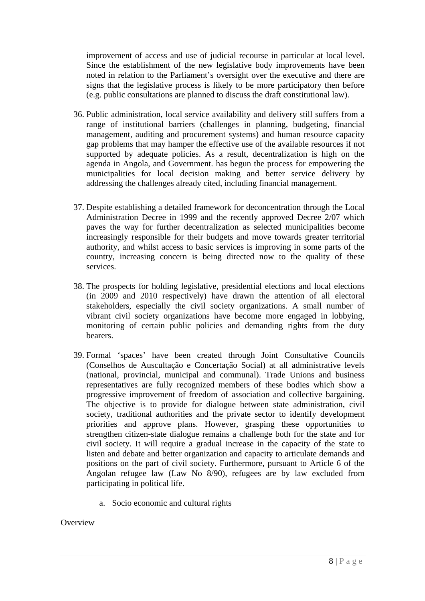improvement of access and use of judicial recourse in particular at local level. Since the establishment of the new legislative body improvements have been noted in relation to the Parliament's oversight over the executive and there are signs that the legislative process is likely to be more participatory then before (e.g. public consultations are planned to discuss the draft constitutional law).

- 36. Public administration, local service availability and delivery still suffers from a range of institutional barriers (challenges in planning, budgeting, financial management, auditing and procurement systems) and human resource capacity gap problems that may hamper the effective use of the available resources if not supported by adequate policies. As a result, decentralization is high on the agenda in Angola, and Government. has begun the process for empowering the municipalities for local decision making and better service delivery by addressing the challenges already cited, including financial management.
- 37. Despite establishing a detailed framework for deconcentration through the Local Administration Decree in 1999 and the recently approved Decree 2/07 which paves the way for further decentralization as selected municipalities become increasingly responsible for their budgets and move towards greater territorial authority, and whilst access to basic services is improving in some parts of the country, increasing concern is being directed now to the quality of these services.
- 38. The prospects for holding legislative, presidential elections and local elections (in 2009 and 2010 respectively) have drawn the attention of all electoral stakeholders, especially the civil society organizations. A small number of vibrant civil society organizations have become more engaged in lobbying, monitoring of certain public policies and demanding rights from the duty bearers.
- 39. Formal 'spaces' have been created through Joint Consultative Councils (Conselhos de Auscultação e Concertação Social) at all administrative levels (national, provincial, municipal and communal). Trade Unions and business representatives are fully recognized members of these bodies which show a progressive improvement of freedom of association and collective bargaining. The objective is to provide for dialogue between state administration, civil society, traditional authorities and the private sector to identify development priorities and approve plans. However, grasping these opportunities to strengthen citizen-state dialogue remains a challenge both for the state and for civil society. It will require a gradual increase in the capacity of the state to listen and debate and better organization and capacity to articulate demands and positions on the part of civil society. Furthermore, pursuant to Article 6 of the Angolan refugee law (Law No 8/90), refugees are by law excluded from participating in political life.
	- a. Socio economic and cultural rights

#### **Overview**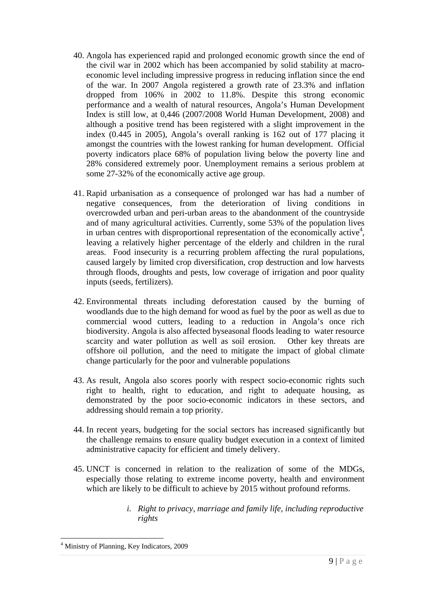- 40. Angola has experienced rapid and prolonged economic growth since the end of the civil war in 2002 which has been accompanied by solid stability at macroeconomic level including impressive progress in reducing inflation since the end of the war. In 2007 Angola registered a growth rate of 23.3% and inflation dropped from 106% in 2002 to 11.8%. Despite this strong economic performance and a wealth of natural resources, Angola's Human Development Index is still low, at 0,446 (2007/2008 World Human Development, 2008) and although a positive trend has been registered with a slight improvement in the index (0.445 in 2005), Angola's overall ranking is 162 out of 177 placing it amongst the countries with the lowest ranking for human development. Official poverty indicators place 68% of population living below the poverty line and 28% considered extremely poor. Unemployment remains a serious problem at some 27-32% of the economically active age group.
- 41. Rapid urbanisation as a consequence of prolonged war has had a number of negative consequences, from the deterioration of living conditions in overcrowded urban and peri-urban areas to the abandonment of the countryside and of many agricultural activities. Currently, some 53% of the population lives in urban centres with disproportional representation of the economically active<sup>4</sup>, leaving a relatively higher percentage of the elderly and children in the rural areas. Food insecurity is a recurring problem affecting the rural populations, caused largely by limited crop diversification, crop destruction and low harvests through floods, droughts and pests, low coverage of irrigation and poor quality inputs (seeds, fertilizers).
- 42. Environmental threats including deforestation caused by the burning of woodlands due to the high demand for wood as fuel by the poor as well as due to commercial wood cutters, leading to a reduction in Angola's once rich biodiversity. Angola is also affected byseasonal floods leading to water resource scarcity and water pollution as well as soil erosion. Other key threats are offshore oil pollution, and the need to mitigate the impact of global climate change particularly for the poor and vulnerable populations
- 43. As result, Angola also scores poorly with respect socio-economic rights such right to health, right to education, and right to adequate housing, as demonstrated by the poor socio-economic indicators in these sectors, and addressing should remain a top priority.
- 44. In recent years, budgeting for the social sectors has increased significantly but the challenge remains to ensure quality budget execution in a context of limited administrative capacity for efficient and timely delivery.
- 45. UNCT is concerned in relation to the realization of some of the MDGs, especially those relating to extreme income poverty, health and environment which are likely to be difficult to achieve by 2015 without profound reforms.
	- *i. Right to privacy, marriage and family life, including reproductive rights*

 $\overline{a}$ 

<sup>4</sup> Ministry of Planning, Key Indicators, 2009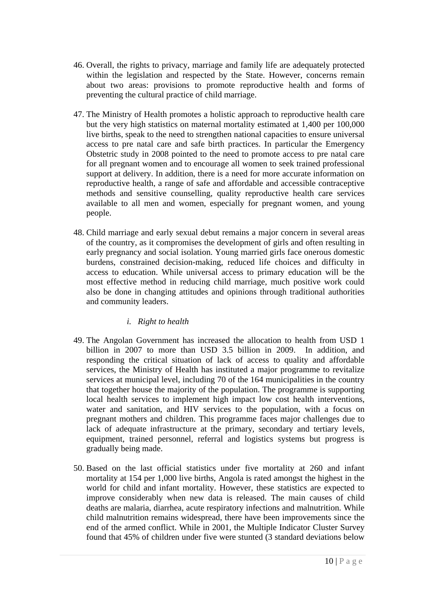- 46. Overall, the rights to privacy, marriage and family life are adequately protected within the legislation and respected by the State. However, concerns remain about two areas: provisions to promote reproductive health and forms of preventing the cultural practice of child marriage.
- 47. The Ministry of Health promotes a holistic approach to reproductive health care but the very high statistics on maternal mortality estimated at 1,400 per 100,000 live births, speak to the need to strengthen national capacities to ensure universal access to pre natal care and safe birth practices. In particular the Emergency Obstetric study in 2008 pointed to the need to promote access to pre natal care for all pregnant women and to encourage all women to seek trained professional support at delivery. In addition, there is a need for more accurate information on reproductive health, a range of safe and affordable and accessible contraceptive methods and sensitive counselling, quality reproductive health care services available to all men and women, especially for pregnant women, and young people.
- 48. Child marriage and early sexual debut remains a major concern in several areas of the country, as it compromises the development of girls and often resulting in early pregnancy and social isolation. Young married girls face onerous domestic burdens, constrained decision-making, reduced life choices and difficulty in access to education. While universal access to primary education will be the most effective method in reducing child marriage, much positive work could also be done in changing attitudes and opinions through traditional authorities and community leaders.

# *i. Right to health*

- 49. The Angolan Government has increased the allocation to health from USD 1 billion in 2007 to more than USD 3.5 billion in 2009. In addition, and responding the critical situation of lack of access to quality and affordable services, the Ministry of Health has instituted a major programme to revitalize services at municipal level, including 70 of the 164 municipalities in the country that together house the majority of the population. The programme is supporting local health services to implement high impact low cost health interventions, water and sanitation, and HIV services to the population, with a focus on pregnant mothers and children. This programme faces major challenges due to lack of adequate infrastructure at the primary, secondary and tertiary levels, equipment, trained personnel, referral and logistics systems but progress is gradually being made.
- 50. Based on the last official statistics under five mortality at 260 and infant mortality at 154 per 1,000 live births, Angola is rated amongst the highest in the world for child and infant mortality. However, these statistics are expected to improve considerably when new data is released. The main causes of child deaths are malaria, diarrhea, acute respiratory infections and malnutrition. While child malnutrition remains widespread, there have been improvements since the end of the armed conflict. While in 2001, the Multiple Indicator Cluster Survey found that 45% of children under five were stunted (3 standard deviations below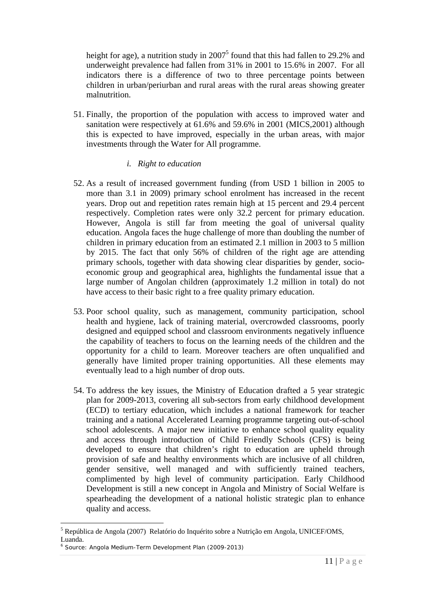height for age), a nutrition study in  $2007^5$  found that this had fallen to 29.2% and underweight prevalence had fallen from 31% in 2001 to 15.6% in 2007. For all indicators there is a difference of two to three percentage points between children in urban/periurban and rural areas with the rural areas showing greater malnutrition.

51. Finally, the proportion of the population with access to improved water and sanitation were respectively at 61.6% and 59.6% in 2001 (MICS,2001) although this is expected to have improved, especially in the urban areas, with major investments through the Water for All programme.

## *i. Right to education*

- 52. As a result of increased government funding (from USD 1 billion in 2005 to more than 3.1 in 2009) primary school enrolment has increased in the recent years. Drop out and repetition rates remain high at 15 percent and 29.4 percent respectively. Completion rates were only 32.2 percent for primary education. However, Angola is still far from meeting the goal of universal quality education. Angola faces the huge challenge of more than doubling the number of children in primary education from an estimated 2.1 million in 2003 to 5 million by 2015. The fact that only 56% of children of the right age are attending primary schools, together with data showing clear disparities by gender, socioeconomic group and geographical area, highlights the fundamental issue that a large number of Angolan children (approximately 1.2 million in total) do not have access to their basic right to a free quality primary education.
- 53. Poor school quality, such as management, community participation, school health and hygiene, lack of training material, overcrowded classrooms, poorly designed and equipped school and classroom environments negatively influence the capability of teachers to focus on the learning needs of the children and the opportunity for a child to learn. Moreover teachers are often unqualified and generally have limited proper training opportunities. All these elements may eventually lead to a high number of drop outs.
- 54. To address the key issues, the Ministry of Education drafted a 5 year strategic plan for 2009-2013, covering all sub-sectors from early childhood development (ECD) to tertiary education, which includes a national framework for teacher training and a national Accelerated Learning programme targeting out-of-school school adolescents. A major new initiative to enhance school quality equality and access through introduction of Child Friendly Schools (CFS) is being developed to ensure that children's right to education are upheld through provision of safe and healthy environments which are inclusive of all children, gender sensitive, well managed and with sufficiently trained teachers, complimented by high level of community participation. Early Childhood Development is still a new concept in Angola and Ministry of Social Welfare is spearheading the development of a national holistic strategic plan to enhance quality and access.

 $\overline{a}$ <sup>5</sup> República de Angola (2007) Relatório do Inquérito sobre a Nutrição em Angola, UNICEF/OMS, Luanda.

<sup>6</sup> Source: Angola Medium-Term Development Plan (2009-2013)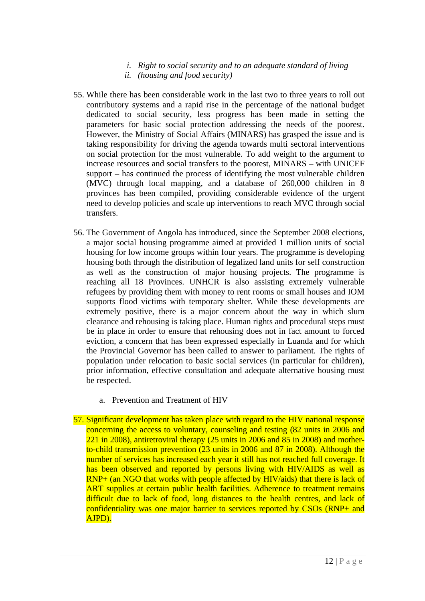- *i. Right to social security and to an adequate standard of living*
- *ii. (housing and food security)*
- 55. While there has been considerable work in the last two to three years to roll out contributory systems and a rapid rise in the percentage of the national budget dedicated to social security, less progress has been made in setting the parameters for basic social protection addressing the needs of the poorest. However, the Ministry of Social Affairs (MINARS) has grasped the issue and is taking responsibility for driving the agenda towards multi sectoral interventions on social protection for the most vulnerable. To add weight to the argument to increase resources and social transfers to the poorest, MINARS – with UNICEF support – has continued the process of identifying the most vulnerable children (MVC) through local mapping, and a database of 260,000 children in 8 provinces has been compiled, providing considerable evidence of the urgent need to develop policies and scale up interventions to reach MVC through social transfers.
- 56. The Government of Angola has introduced, since the September 2008 elections, a major social housing programme aimed at provided 1 million units of social housing for low income groups within four years. The programme is developing housing both through the distribution of legalized land units for self construction as well as the construction of major housing projects. The programme is reaching all 18 Provinces. UNHCR is also assisting extremely vulnerable refugees by providing them with money to rent rooms or small houses and IOM supports flood victims with temporary shelter. While these developments are extremely positive, there is a major concern about the way in which slum clearance and rehousing is taking place. Human rights and procedural steps must be in place in order to ensure that rehousing does not in fact amount to forced eviction, a concern that has been expressed especially in Luanda and for which the Provincial Governor has been called to answer to parliament. The rights of population under relocation to basic social services (in particular for children), prior information, effective consultation and adequate alternative housing must be respected.
	- a. Prevention and Treatment of HIV
- 57. Significant development has taken place with regard to the HIV national response concerning the access to voluntary, counseling and testing (82 units in 2006 and 221 in 2008), antiretroviral therapy (25 units in 2006 and 85 in 2008) and motherto-child transmission prevention (23 units in 2006 and 87 in 2008). Although the number of services has increased each year it still has not reached full coverage. It has been observed and reported by persons living with HIV/AIDS as well as RNP+ (an NGO that works with people affected by HIV/aids) that there is lack of ART supplies at certain public health facilities. Adherence to treatment remains difficult due to lack of food, long distances to the health centres, and lack of confidentiality was one major barrier to services reported by CSOs (RNP+ and AJPD).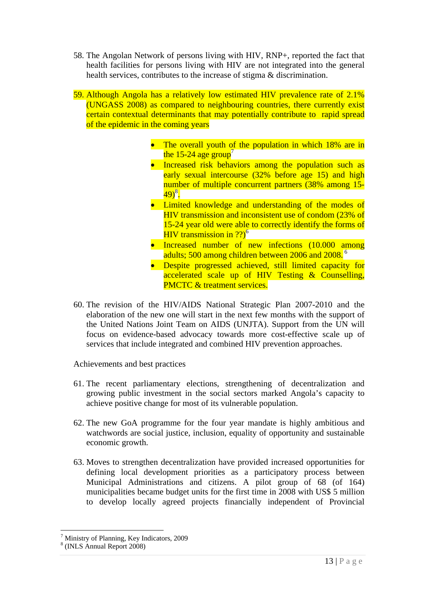- 58. The Angolan Network of persons living with HIV, RNP+, reported the fact that health facilities for persons living with HIV are not integrated into the general health services, contributes to the increase of stigma & discrimination.
- 59. Although Angola has a relatively low estimated HIV prevalence rate of 2.1% (UNGASS 2008) as compared to neighbouring countries, there currently exist certain contextual determinants that may potentially contribute to rapid spread of the epidemic in the coming years
	- The overall youth of the population in which 18% are in the 15-24 age group<sup>7</sup>
	- Increased risk behaviors among the population such as early sexual intercourse (32% before age 15) and high number of multiple concurrent partners (38% among 15-  $49)^8$ .
	- Limited knowledge and understanding of the modes of HIV transmission and inconsistent use of condom (23% of 15-24 year old were able to correctly identify the forms of HIV transmission in  $?$ ?)<sup>6</sup>
	- Increased number of new infections (10.000 among adults; 500 among children between 2006 and 2008.<sup>6</sup>
	- Despite progressed achieved, still limited capacity for accelerated scale up of HIV Testing & Counselling, PMCTC & treatment services.
- 60. The revision of the HIV/AIDS National Strategic Plan 2007-2010 and the elaboration of the new one will start in the next few months with the support of the United Nations Joint Team on AIDS (UNJTA). Support from the UN will focus on evidence-based advocacy towards more cost-effective scale up of services that include integrated and combined HIV prevention approaches.

Achievements and best practices

- 61. The recent parliamentary elections, strengthening of decentralization and growing public investment in the social sectors marked Angola's capacity to achieve positive change for most of its vulnerable population.
- 62. The new GoA programme for the four year mandate is highly ambitious and watchwords are social justice, inclusion, equality of opportunity and sustainable economic growth.
- 63. Moves to strengthen decentralization have provided increased opportunities for defining local development priorities as a participatory process between Municipal Administrations and citizens. A pilot group of 68 (of 164) municipalities became budget units for the first time in 2008 with US\$ 5 million to develop locally agreed projects financially independent of Provincial

 $\overline{a}$ 

<sup>7</sup> Ministry of Planning, Key Indicators, 2009

<sup>8</sup> (INLS Annual Report 2008)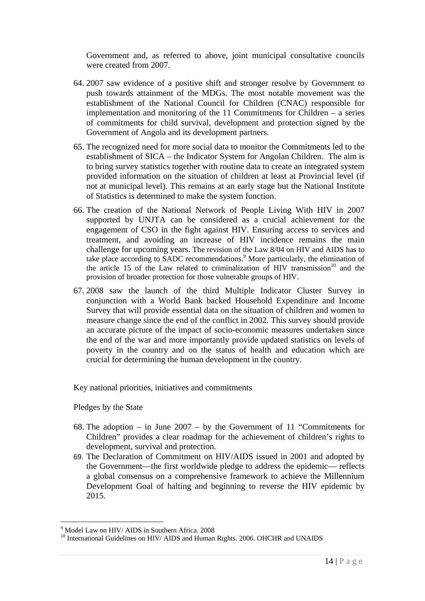Government and, as referred to above, joint municipal consultative councils were created from 2007.

- 64. 2007 saw evidence of a positive shift and stronger resolve by Government to push towards attainment of the MDGs. The most notable movement was the establishment of the National Council for Children (CNAC) responsible for implementation and monitoring of the 11 Commitments for Children – a series of commitments for child survival, development and protection signed by the Government of Angola and its development partners.
- 65. The recognized need for more social data to monitor the Commitments led to the establishment of SICA – the Indicator System for Angolan Children. The aim is to bring survey statistics together with routine data to create an integrated system provided information on the situation of children at least at Provincial level (if not at municipal level). This remains at an early stage but the National Institute of Statistics is determined to make the system function.
- 66. The creation of the National Network of People Living With HIV in 2007 supported by UNJTA can be considered as a crucial achievement for the engagement of CSO in the fight against HIV. Ensuring access to services and treatment, and avoiding an increase of HIV incidence remains the main challenge for upcoming years. The revision of the Law 8/04 on HIV and AIDS has to take place according to SADC recommendations.<sup>9</sup> More particularly, the elimination of the article 15 of the Law related to criminalization of HIV transmission<sup>10</sup> and the provision of broader protection for those vulnerable groups of HIV.
- 67. 2008 saw the launch of the third Multiple Indicator Cluster Survey in conjunction with a World Bank backed Household Expenditure and Income Survey that will provide essential data on the situation of children and women to measure change since the end of the conflict in 2002. This survey should provide an accurate picture of the impact of socio-economic measures undertaken since the end of the war and more importantly provide updated statistics on levels of poverty in the country and on the status of health and education which are crucial for determining the human development in the country.

Key national priorities, initiatives and commitments

Pledges by the State

- 68. The adoption in June 2007 by the Government of 11 "Commitments for Children" provides a clear roadmap for the achievement of children's rights to development, survival and protection.
- 69. The Declaration of Commitment on HIV/AIDS issued in 2001 and adopted by the Government—the first worldwide pledge to address the epidemic— reflects a global consensus on a comprehensive framework to achieve the Millennium Development Goal of halting and beginning to reverse the HIV epidemic by 2015.

 $\overline{a}$ 9 Model Law on HIV/ AIDS in Southern Africa. 2008

<sup>&</sup>lt;sup>10</sup> International Guidelines on HIV/ AIDS and Human Rights. 2006. OHCHR and UNAIDS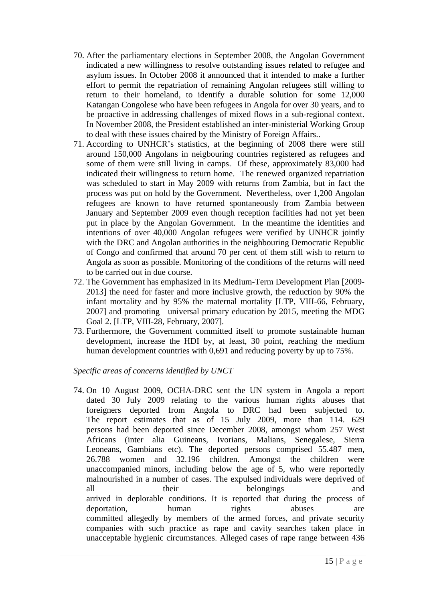- 70. After the parliamentary elections in September 2008, the Angolan Government indicated a new willingness to resolve outstanding issues related to refugee and asylum issues. In October 2008 it announced that it intended to make a further effort to permit the repatriation of remaining Angolan refugees still willing to return to their homeland, to identify a durable solution for some 12,000 Katangan Congolese who have been refugees in Angola for over 30 years, and to be proactive in addressing challenges of mixed flows in a sub-regional context. In November 2008, the President established an inter-ministerial Working Group to deal with these issues chaired by the Ministry of Foreign Affairs..
- 71. According to UNHCR's statistics, at the beginning of 2008 there were still around 150,000 Angolans in neigbouring countries registered as refugees and some of them were still living in camps. Of these, approximately 83,000 had indicated their willingness to return home. The renewed organized repatriation was scheduled to start in May 2009 with returns from Zambia, but in fact the process was put on hold by the Government. Nevertheless, over 1,200 Angolan refugees are known to have returned spontaneously from Zambia between January and September 2009 even though reception facilities had not yet been put in place by the Angolan Government. In the meantime the identities and intentions of over 40,000 Angolan refugees were verified by UNHCR jointly with the DRC and Angolan authorities in the neighbouring Democratic Republic of Congo and confirmed that around 70 per cent of them still wish to return to Angola as soon as possible. Monitoring of the conditions of the returns will need to be carried out in due course.
- 72. The Government has emphasized in its Medium-Term Development Plan [2009- 2013] the need for faster and more inclusive growth, the reduction by 90% the infant mortality and by 95% the maternal mortality [LTP, VIII-66, February, 2007] and promoting universal primary education by 2015, meeting the MDG Goal 2. [LTP, VIII-28, February, 2007].
- 73. Furthermore, the Government committed itself to promote sustainable human development, increase the HDI by, at least, 30 point, reaching the medium human development countries with 0,691 and reducing poverty by up to 75%.

## *Specific areas of concerns identified by UNCT*

74. On 10 August 2009, OCHA-DRC sent the UN system in Angola a report dated 30 July 2009 relating to the various human rights abuses that foreigners deported from Angola to DRC had been subjected to. The report estimates that as of 15 July 2009, more than 114. 629 persons had been deported since December 2008, amongst whom 257 West Africans (inter alia Guineans, Ivorians, Malians, Senegalese, Sierra Leoneans, Gambians etc). The deported persons comprised 55.487 men, 26.788 women and 32.196 children. Amongst the children were unaccompanied minors, including below the age of 5, who were reportedly malnourished in a number of cases. The expulsed individuals were deprived of all their belongings and arrived in deplorable conditions. It is reported that during the process of deportation, human rights abuses are committed allegedly by members of the armed forces, and private security companies with such practice as rape and cavity searches taken place in unacceptable hygienic circumstances. Alleged cases of rape range between 436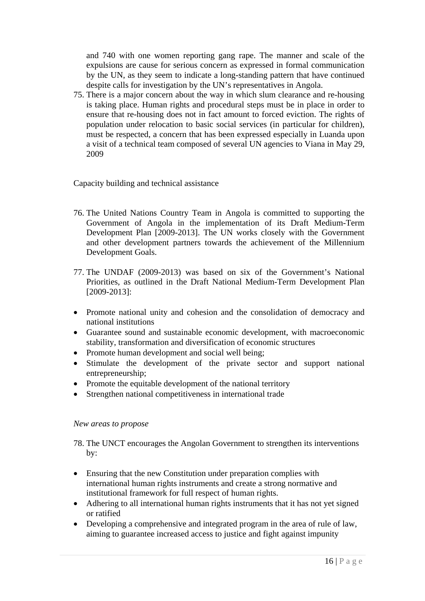and 740 with one women reporting gang rape. The manner and scale of the expulsions are cause for serious concern as expressed in formal communication by the UN, as they seem to indicate a long-standing pattern that have continued despite calls for investigation by the UN's representatives in Angola.

75. There is a major concern about the way in which slum clearance and re-housing is taking place. Human rights and procedural steps must be in place in order to ensure that re-housing does not in fact amount to forced eviction. The rights of population under relocation to basic social services (in particular for children), must be respected, a concern that has been expressed especially in Luanda upon a visit of a technical team composed of several UN agencies to Viana in May 29, 2009

Capacity building and technical assistance

- 76. The United Nations Country Team in Angola is committed to supporting the Government of Angola in the implementation of its Draft Medium-Term Development Plan [2009-2013]. The UN works closely with the Government and other development partners towards the achievement of the Millennium Development Goals.
- 77. The UNDAF (2009-2013) was based on six of the Government's National Priorities, as outlined in the Draft National Medium-Term Development Plan [2009-2013]:
- Promote national unity and cohesion and the consolidation of democracy and national institutions
- Guarantee sound and sustainable economic development, with macroeconomic stability, transformation and diversification of economic structures
- Promote human development and social well being;
- Stimulate the development of the private sector and support national entrepreneurship;
- Promote the equitable development of the national territory
- Strengthen national competitiveness in international trade

## *New areas to propose*

- 78. The UNCT encourages the Angolan Government to strengthen its interventions by:
- Ensuring that the new Constitution under preparation complies with international human rights instruments and create a strong normative and institutional framework for full respect of human rights.
- Adhering to all international human rights instruments that it has not yet signed or ratified
- Developing a comprehensive and integrated program in the area of rule of law, aiming to guarantee increased access to justice and fight against impunity